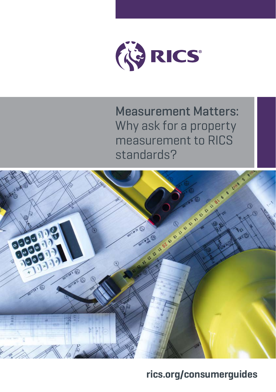

Measurement Matters: Why ask for a property measurement to RICS standards?



**[rics.org/consumerguides](http://rics.org/consumerguides)**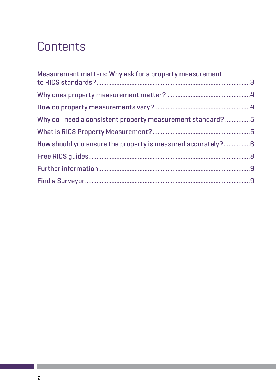## **Contents**

| Measurement matters: Why ask for a property measurement     |  |
|-------------------------------------------------------------|--|
|                                                             |  |
|                                                             |  |
| Why do I need a consistent property measurement standard?5  |  |
|                                                             |  |
| How should you ensure the property is measured accurately?6 |  |
|                                                             |  |
|                                                             |  |
|                                                             |  |
|                                                             |  |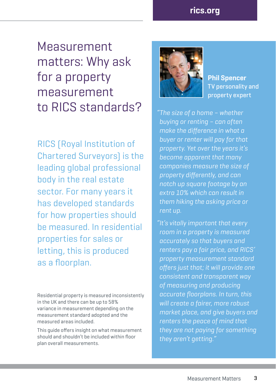Measurement matters: Why ask for a property measurement to RICS standards?

RICS (Royal Institution of Chartered Surveyors) is the leading global professional body in the real estate sector. For many years it has developed standards for how properties should be measured. In residential properties for sales or letting, this is produced as a floorplan.

Residential property is measured inconsistently in the UK and there can be up to 58% variance in measurement depending on the measurement standard adopted and the measured areas included.

This quide offers insight on what measurement should and shouldn't be included within floor plan overall measurements.



**Phil Spencer**  TV personality and property expert

"The size of a home – whether buying or renting – can often make the difference in what a buyer or renter will pay for that become apparent that many companies measure the size of property differently, and can notch up square footage by an extra 10% which can result in them hiking the asking price or rent up.

"It's vitally important that every room in a property is measured accurately so that buyers and renters pay a fair price, and RICS' property measurement standard offers just that; it will provide one consistent and transparent way of measuring and producing accurate floorplans. In turn, this will create a fairer, more robust market place, and give buyers and renters the peace of mind that they are not paying for something they aren't getting."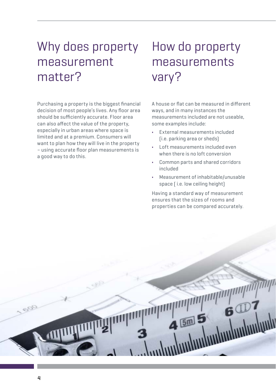## Why does property measurement matter?

Purchasing a property is the biggest financial decision of most people's lives. Any floor area should be sufficiently accurate. Floor area can also affect the value of the property, especially in urban areas where space is limited and at a premium. Consumers will want to plan how they will live in the property – using accurate floor plan measurements is a good way to do this.

## How do property measurements vary?

A house or flat can be measured in different ways, and in many instances the measurements included are not useable, some examples include:

- **•** External measurements included (i.e. parking area or sheds)
- **•** Loft measurements included even when there is no loft conversion
- **•** Common parts and shared corridors included
- **•** Measurement of inhabitable/unusable space ( i.e. low ceiling height)

Having a standard way of measurement ensures that the sizes of rooms and properties can be compared accurately.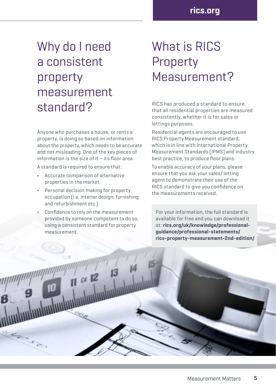## Why do I need a consistent property measurement standard?

Anyone who purchases a house, or rents a property, is doing so based on information about the property, which needs to be accurate and not misleading. One of the key pieces of information is the size of it – its floor area.

A standard is required to ensure that:

- **•** Accurate comparison of alternative properties in the market
- **•** Personal decision making for property occupation (i.e. interior design, furnishing and refurbishment etc.)
- **•** Confidence to rely on the measurement provided by someone competent to do so, using a consistent standard for property measurement.

 $C4$  12

**CAS** 

## What is RICS Property Measurement?

RICS has produced a standard to ensure that all residential properties are measured consistently, whether it is for sales or lettings purposes.

Residential agents are encouraged to use RICS Property Measurement standard, which is in line with International Property Measurement Standards (IPMS) and industry best practice, to produce floor plans.

To enable accuracy of your plans, please ensure that you ask your sales/ letting agent to demonstrate their use of the RICS standard to give you confidence on the measurements received.

For your information, the full standard is available for free and you can download it at: **[rics.org/uk/knowledge/professional](http://rics.org/uk/knowledge/professional-guidance/professional-statements/rics)[guidance/professional-statements/](http://rics.org/uk/knowledge/professional-guidance/professional-statements/rics) [rics](http://rics.org/uk/knowledge/professional-guidance/professional-statements/rics)-property-measurement-2nd-edition/**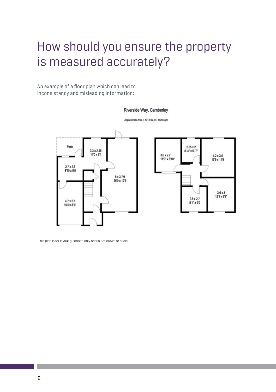## How should you ensure the property is measured accurately?

An example of a floor plan which can lead to inconsistency and misleading information:

#### Riverside Way, Camberley

Approximate Area = 131.9 sq m / 1420 sq ft



This plan is for layout guidance only and is not drawn to scale.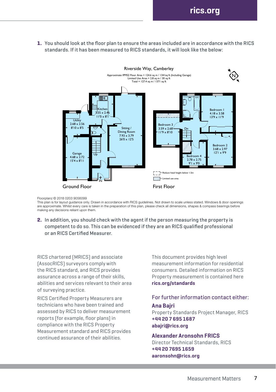**1.** You should look at the floor plan to ensure the areas included are in accordance with the RICS standards. If it has been measured to RICS standards, it will look like the below:



#### Floorplanz © 2018 0203 9056099

.<br>This plan is for layout guidance only. Drawn in accordance with RICS guidelines. Not drawn to scale unless stated. Windows & door openings are approximate. Whilst every care is taken in the preparation of this plan, please check all dimensions, shapes & compass bearings before making any decisions reliant upon them.

**2.** In addition, you should check with the agent if the person measuring the property is competent to do so. This can be evidenced if they are an RICS qualified professional or an RICS Certified Measurer.

RICS chartered (MRICS) and associate (AssocRICS) surveyors comply with the RICS standard, and RICS provides assurance across a range of their skills, abilities and services relevant to their area of surveying practice.

RICS Certified Property Measurers are technicians who have been trained and assessed by RICS to deliver measurement reports (for example, floor plans) in compliance with the RICS Property Measurement standard and RICS provides continued assurance of their abilities.

This document provides high level measurement information for residential consumers. Detailed information on RICS Property measurement is contained here **[rics.org/standards](http://rics.org/standards)** 

## For further information contact either:

### **Ana Bajri**

Property Standards Project Manager, RICS **+44 20 7 695 1687 [abajri@rics.org](mailto:abajri@rics.org)** 

#### **Alexander Aronsohn FRICS**

Director Technical Standards, RICS **+44 20 7695 1659 [aaronsohn@rics.org](mailto:aaronsohn@rics.org)**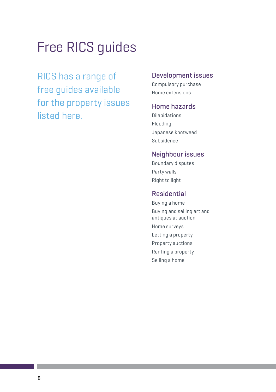# Free RICS guides

RICS has a range of free guides available for the property issues listed here.

### Development issues

Compulsory purchase Home extensions

### Home hazards

Dilapidations Flooding Japanese knotweed Subsidence

### Neighbour issues

Boundary disputes Party walls Right to light

### Residential

Buying a home Buying and selling art and antiques at auction Home surveys Letting a property Property auctions Renting a property Selling a home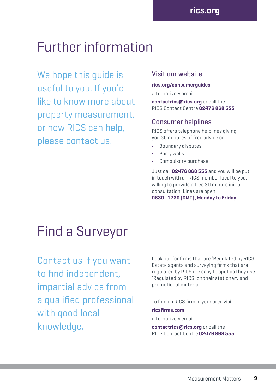## Further information

We hope this guide is useful to you. If you'd like to know more about property measurement, or how RICS can help, please contact us.

### Visit our website

#### **[rics.org/consumerguides](http://rics.org/consumerguides)**

alternatively email

**[contactrics@rics.org](mailto:contactrics@rics.org)** or call the RICS Contact Centre **02476 868 555**

### Consumer helplines

RICS offers telephone helplines giving you 30 minutes of free advice on:

- **•** Boundary disputes
- **•** Party walls
- **•** Compulsory purchase.

Just call **02476 868 555** and you will be put in touch with an RICS member local to you, willing to provide a free 30 minute initial consultation. Lines are open **0830 –1730 (GMT), Monday to Friday**.

## Find a Surveyor

Contact us if you want to find independent, impartial advice from a qualified professional with good local knowledge.

Look out for firms that are 'Regulated by RICS'. Estate agents and surveying firms that are regulated by RICS are easy to spot as they use 'Regulated by RICS' on their stationery and promotional material.

To find an RICS firm in your area visit

#### **[ricsfirms.com](http://www.ricsfirms.com)**

alternatively email

**[contactrics@rics.org](mailto:contactrics@rics.org)** or call the RICS Contact Centre **02476 868 555**